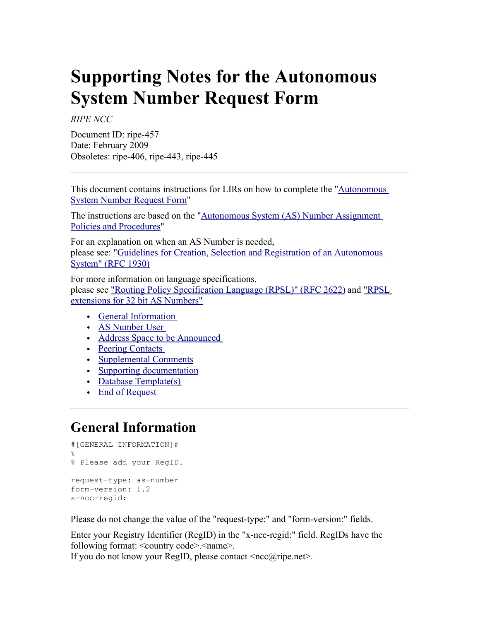# **Supporting Notes for the Autonomous System Number Request Form**

*RIPE NCC*

Document ID: ripe-457 Date: February 2009 Obsoletes: ripe-406, ripe-443, ripe-445

This document contains instructions for LIRs on how to complete the ["Autonomous](file:///ripe/docs/asnrequestform.html) [System Number Request Form"](file:///ripe/docs/asnrequestform.html)

The instructions are based on the ["Autonomous System \(AS\) Number Assignment](file:///ripe/docs/asn-assignment.html) [Policies and Procedures"](file:///ripe/docs/asn-assignment.html)

For an explanation on when an AS Number is needed, please see: ["Guidelines for Creation, Selection and Registration of an Autonomous](ftp://ftp.ripe.net/rfc/rfc1930.txt) [System" \(RFC 1930\)](ftp://ftp.ripe.net/rfc/rfc1930.txt)

For more information on language specifications, please see ["Routing Policy Specification Language \(RPSL\)" \(RFC 2622\)](ftp://ftp.ripe.net/rfc/rfc2622.txt) and ["RPSL](http://tools.ietf.org/html/draft-uijterwaal-rpsl-4byteas-ext-03) [extensions for 32 bit AS Numbers"](http://tools.ietf.org/html/draft-uijterwaal-rpsl-4byteas-ext-03)

- [General Information](#page-0-0)
- AS Number User
- [Address Space to be Announced](#page-1-0)
- Peering Contacts
- [Supplemental Comments](#page-2-1)
- [Supporting documentation](#page-2-0)
- Database Template(s)
- End of Request

## <span id="page-0-0"></span>**General Information**

```
#[GENERAL INFORMATION]#
\mathsf{Q}% Please add your RegID.
request-type: as-number
form-version: 1.2
x-ncc-regid:
```
Please do not change the value of the "request-type:" and "form-version:" fields.

Enter your Registry Identifier (RegID) in the "x-ncc-regid:" field. RegIDs have the following format: <country code>.<name>.

If you do not know your RegID, please contact  $\langle ncc\hat{a}|\hat{c}\rangle$  net  $\geq$ .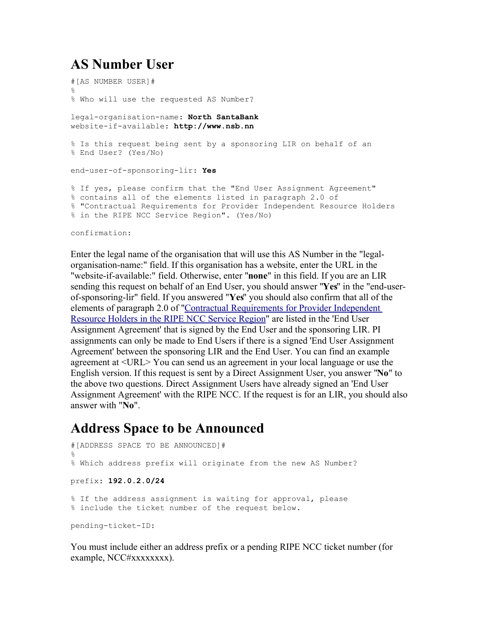## <span id="page-1-1"></span>**AS Number User**

```
#[AS NUMBER USER]#
\circ% Who will use the requested AS Number?
legal-organisation-name: North SantaBank
website-if-available: http://www.nsb.nn 
% Is this request being sent by a sponsoring LIR on behalf of an 
% End User? (Yes/No)
end-user-of-sponsoring-lir: Yes
% If yes, please confirm that the "End User Assignment Agreement" 
% contains all of the elements listed in paragraph 2.0 of 
% "Contractual Requirements for Provider Independent Resource Holders 
% in the RIPE NCC Service Region". (Yes/No)
```
confirmation:

Enter the legal name of the organisation that will use this AS Number in the "legalorganisation-name:" field. If this organisation has a website, enter the URL in the "website-if-available:" field. Otherwise, enter "**none**" in this field. If you are an LIR sending this request on behalf of an End User, you should answer "**Yes**" in the "end-userof-sponsoring-lir" field. If you answered "**Yes**" you should also confirm that all of the elements of paragraph 2.0 of ["Contractual Requirements for Provider Independent](http://www.ripe.net/ripe/docs/contract-req.html) [Resource Holders in the RIPE NCC Service Region"](http://www.ripe.net/ripe/docs/contract-req.html) are listed in the 'End User Assignment Agreement' that is signed by the End User and the sponsoring LIR. PI assignments can only be made to End Users if there is a signed 'End User Assignment Agreement' between the sponsoring LIR and the End User. You can find an example agreement at <URL> You can send us an agreement in your local language or use the English version. If this request is sent by a Direct Assignment User, you answer "**No**" to the above two questions. Direct Assignment Users have already signed an 'End User Assignment Agreement' with the RIPE NCC. If the request is for an LIR, you should also answer with "**No**".

## <span id="page-1-0"></span>**Address Space to be Announced**

```
#[ADDRESS SPACE TO BE ANNOUNCED]#
%
% Which address prefix will originate from the new AS Number? 
prefix: 192.0.2.0/24
% If the address assignment is waiting for approval, please
% include the ticket number of the request below.
pending-ticket-ID:
```
You must include either an address prefix or a pending RIPE NCC ticket number (for example, NCC#xxxxxxxx).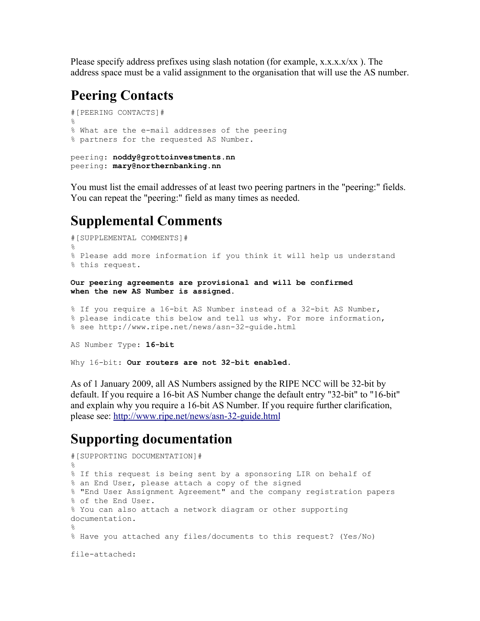Please specify address prefixes using slash notation (for example,  $x.x.x.x/xx$ ). The address space must be a valid assignment to the organisation that will use the AS number.

#### <span id="page-2-2"></span>**Peering Contacts**

```
#[PEERING CONTACTS]#
\approx% What are the e-mail addresses of the peering
% partners for the requested AS Number.
peering: noddy@grottoinvestments.nn
peering: mary@northernbanking.nn
```
You must list the email addresses of at least two peering partners in the "peering:" fields. You can repeat the "peering:" field as many times as needed.

## <span id="page-2-1"></span>**Supplemental Comments**

```
#[SUPPLEMENTAL COMMENTS]#
%
% Please add more information if you think it will help us understand 
% this request.
Our peering agreements are provisional and will be confirmed
when the new AS Number is assigned.
% If you require a 16-bit AS Number instead of a 32-bit AS Number, 
% please indicate this below and tell us why. For more information,
```

```
% see http://www.ripe.net/news/asn-32-guide.html
```

```
AS Number Type: 16-bit
```
Why 16-bit: **Our routers are not 32-bit enabled.**

As of 1 January 2009, all AS Numbers assigned by the RIPE NCC will be 32-bit by default. If you require a 16-bit AS Number change the default entry "32-bit" to "16-bit" and explain why you require a 16-bit AS Number. If you require further clarification, please see:<http://www.ripe.net/news/asn-32-guide.html>

## <span id="page-2-0"></span>**Supporting documentation**

```
#[SUPPORTING DOCUMENTATION]#
\circ% If this request is being sent by a sponsoring LIR on behalf of 
% an End User, please attach a copy of the signed 
% "End User Assignment Agreement" and the company registration papers 
% of the End User.
% You can also attach a network diagram or other supporting
documentation.
%
% Have you attached any files/documents to this request? (Yes/No)
file-attached:
```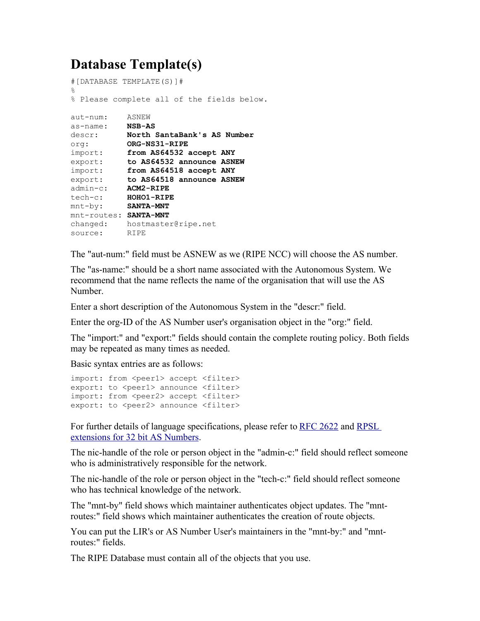## <span id="page-3-0"></span>**Database Template(s)**

```
#[DATABASE TEMPLATE(S)]#
\approx% Please complete all of the fields below.
aut-num: ASNEW
as-name: NSB-AS
descr: North SantaBank's AS Number
org: ORG-NS31-RIPE
import: from AS64532 accept ANY
export: to AS64532 announce ASNEW
import: from AS64518 accept ANY
export: to AS64518 announce ASNEW
admin-c: ACM2-RIPE
tech-c: HOHO1-RIPE
mnt-by: SANTA-MNT 
mnt-routes: SANTA-MNT
changed: hostmaster@ripe.net
source: RIPE
```
The "aut-num:" field must be ASNEW as we (RIPE NCC) will choose the AS number.

The "as-name:" should be a short name associated with the Autonomous System. We recommend that the name reflects the name of the organisation that will use the AS Number.

Enter a short description of the Autonomous System in the "descr:" field.

Enter the org-ID of the AS Number user's organisation object in the "org:" field.

The "import:" and "export:" fields should contain the complete routing policy. Both fields may be repeated as many times as needed.

Basic syntax entries are as follows:

```
import: from <peer1> accept <filter>
export: to <peer1> announce <filter>
import: from <peer2> accept <filter>
export: to <peer2> announce <filter>
```
For further details of language specifications, please refer to [RFC 2622](ftp://ftp.ripe.net/rfc/rfc2622.txt) and [RPSL](http://tools.ietf.org/html/draft-uijterwaal-rpsl-4byteas-ext-03) [extensions for 32 bit AS Numbers.](http://tools.ietf.org/html/draft-uijterwaal-rpsl-4byteas-ext-03)

The nic-handle of the role or person object in the "admin-c:" field should reflect someone who is administratively responsible for the network.

The nic-handle of the role or person object in the "tech-c:" field should reflect someone who has technical knowledge of the network.

The "mnt-by" field shows which maintainer authenticates object updates. The "mntroutes:" field shows which maintainer authenticates the creation of route objects.

You can put the LIR's or AS Number User's maintainers in the "mnt-by:" and "mntroutes:" fields.

The RIPE Database must contain all of the objects that you use.